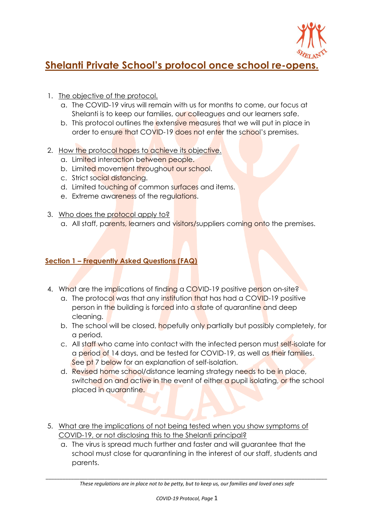

# **Shelanti Private School's protocol once school re-opens.**

- 1. The objective of the protocol.
	- a. The COVID-19 virus will remain with us for months to come, our focus at Shelanti is to keep our families, our colleagues and our learners safe.
	- b. This protocol outlines the extensive measures that we will put in place in order to ensure that COVID-19 does not enter the school's premises.
- 2. How the protocol hopes to achieve its objective.
	- a. Limited interaction between people.
	- b. Limited movement throughout our school.
	- c. Strict social distancing.
	- d. Limited touching of common surfaces and items.
	- e. Extreme awareness of the regulations.
- 3. Who does the protocol apply to?
	- a. All staff, parents, learners and visitors/suppliers coming onto the premises.

### **Section 1 – Frequently Asked Questions (FAQ)**

- 4. What are the implications of finding a COVID-19 positive person on-site?
	- a. The protocol was that any institution that has had a COVID-19 positive person in the building is forced into a state of quarantine and deep cleaning.
	- b. The school will be closed, hopefully only partially but possibly completely, for a period.
	- c. All staff who came into contact with the infected person must self-isolate for a period of 14 days, and be tested for COVID-19, as well as their families. See pt 7 below for an explanation of self-isolation.
	- d. Revised home school/distance learning strategy needs to be in place, switched on and active in the event of either a pupil isolating, or the school placed in quarantine.
- 5. What are the implications of not being tested when you show symptoms of COVID-19, or not disclosing this to the Shelanti principal?
	- a. The virus is spread much further and faster and will guarantee that the school must close for quarantining in the interest of our staff, students and parents.

*\_\_\_\_\_\_\_\_\_\_\_\_\_\_\_\_\_\_\_\_\_\_\_\_\_\_\_\_\_\_\_\_\_\_\_\_\_\_\_\_\_\_\_\_\_\_\_\_\_\_\_\_\_\_\_\_\_\_\_\_\_\_\_\_\_\_\_\_\_\_\_\_\_\_\_\_\_\_\_\_\_\_\_\_\_\_\_\_\_\_\_\_\_\_\_\_\_\_\_\_ These regulations are in place not to be petty, but to keep us, our families and loved ones safe*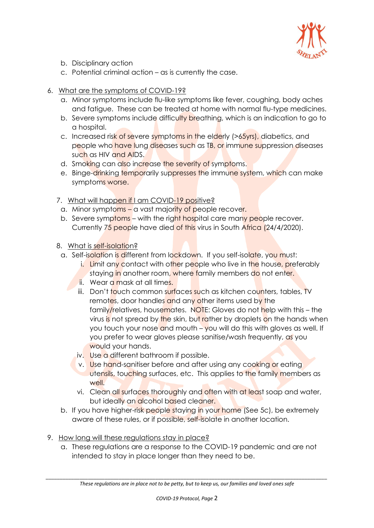

- b. Disciplinary action
- c. Potential criminal action as is currently the case.
- 6. What are the symptoms of COVID-19?
	- a. Minor symptoms include flu-like symptoms like fever, coughing, body aches and fatigue. These can be treated at home with normal flu-type medicines.
	- b. Severe symptoms include difficulty breathing, which is an indication to go to a hospital.
	- c. Increased risk of severe symptoms in the elderly (>65yrs), diabetics, and people who have lung diseases such as TB, or immune suppression diseases such as HIV and AIDS.
	- d. Smoking can also increase the severity of symptoms.
	- e. Binge-drinking temporarily suppresses the immune system, which can make symptoms worse.
	- 7. What will happen if I am COVID-19 positive?
		- a. Minor symptoms a vast majority of people recover.
		- b. Severe symptoms with the right hospital care many people recover. Currently 75 people have died of this virus in South Africa (24/4/2020).
	- 8. What is self-isolation?
		- a. Self-isolation is different from lockdown. If you self-isolate, you must:
			- i. Limit any contact with other people who live in the house, preferably staying in another room, where family members do not enter.
			- ii. Wear a mask at all times.
			- iii. Don't touch common surfaces such as kitchen counters, tables, TV remotes, door handles and any other items used by the family/relatives, housemates. NOTE: Gloves do not help with this – the virus is not spread by the skin, but rather by droplets on the hands when you touch your nose and mouth – you will do this with gloves as well. If you prefer to wear gloves please sanitise/wash frequently, as you would your hands.
			- iv. Use a different bathroom if possible.
			- v. Use hand-sanitiser before and after using any cooking or eating utensils, touching surfaces, etc. This applies to the family members as well.
			- vi. Clean all surfaces thoroughly and often with at least soap and water, but ideally an alcohol based cleaner.
		- b. If you have higher-risk people staying in your home (See 5c), be extremely aware of these rules, or if possible, self-isolate in another location.
- 9. How long will these regulations stay in place?
	- a. These regulations are a response to the COVID-19 pandemic and are not intended to stay in place longer than they need to be.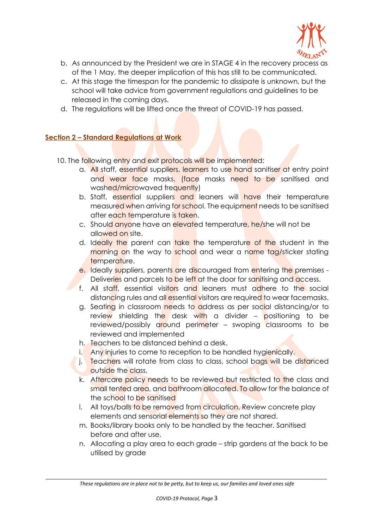

- b. As announced by the President we are in STAGE 4 in the recovery process as of the 1 May, the deeper implication of this has still to be communicated.
- c. At this stage the timespan for the pandemic to dissipate is unknown, but the school will take advice from government regulations and guidelines to be released in the coming days.
- d. The regulations will be lifted once the threat of COVID-19 has passed.

## **Section 2 – Standard Regulations at Work**

- 10. The following entry and exit protocols will be implemented:
	- a. All staff, essential suppliers, learners to use hand sanitiser at entry point and wear face masks. (face masks need to be sanitised and washed/microwaved frequently)
	- b. Staff, essential suppliers and leaners will have their temperature measured when arriving for school. The equipment needs to be sanitised after each temperature is taken.
	- c. Should anyone have an elevated temperature, he/she will not be allowed on site.
	- d. Ideally the parent can take the temperature of the student in the morning on the way to school and wear a name tag/sticker stating temperature.
	- e. Ideally suppliers, parents are discouraged from entering the premises -Deliveries and parcels to be left at the door for sanitising and access.
	- f. All staff, essential visitors and leaners must adhere to the social distancing rules and all essential visitors are required to wear facemasks.
	- g. Seating in classroom needs to address as per social distancing/or to review shielding the desk with a divider  $-$  positioning to be reviewed/possibly around perimeter – swoping classrooms to be reviewed and implemented
	- h. Teachers to be distanced behind a desk.
	- i. Any injuries to come to reception to be handled hygienically.
	- j. Teachers will rotate from class to class, school bags will be distanced outside the class.
	- k. Aftercare policy needs to be reviewed but restricted to the class and small tented area, and bathroom allocated. To allow for the balance of the school to be sanitised
	- I. All toys/balls to be removed from circulation. Review concrete play elements and sensorial elements so they are not shared.
	- m. Books/library books only to be handled by the teacher. Sanitised before and after use.
	- n. Allocating a play area to each grade strip gardens at the back to be utilised by grade

*\_\_\_\_\_\_\_\_\_\_\_\_\_\_\_\_\_\_\_\_\_\_\_\_\_\_\_\_\_\_\_\_\_\_\_\_\_\_\_\_\_\_\_\_\_\_\_\_\_\_\_\_\_\_\_\_\_\_\_\_\_\_\_\_\_\_\_\_\_\_\_\_\_\_\_\_\_\_\_\_\_\_\_\_\_\_\_\_\_\_\_\_\_\_\_\_\_\_\_\_ These regulations are in place not to be petty, but to keep us, our families and loved ones safe*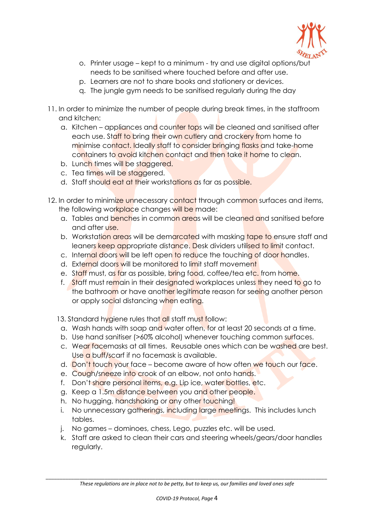

- o. Printer usage kept to a minimum try and use digital options/but needs to be sanitised where touched before and after use.
- p. Learners are not to share books and stationery or devices.
- q. The jungle gym needs to be sanitised regularly during the day
- 11. In order to minimize the number of people during break times, in the staffroom and kitchen:
	- a. Kitchen appliances and counter tops will be cleaned and sanitised after each use. Staff to bring their own cutlery and crockery from home to minimise contact. Ideally staff to consider bringing flasks and take-home containers to avoid kitchen contact and then take it home to clean.
	- b. Lunch times will be staggered.
	- c. Tea times will be staggered.
	- d. Staff should eat at their workstations as far as possible.
- 12. In order to minimize unnecessary contact through common surfaces and items, the following workplace changes will be made:
	- a. Tables and benches in common areas will be cleaned and sanitised before and after use.
	- b. Workstation areas will be demarcated with masking tape to ensure staff and leaners keep appropriate distance. Desk dividers utilised to limit contact.
	- c. Internal doors will be left open to reduce the touching of door handles.
	- d. External doors will be monitored to limit staff movement
	- e. Staff must, as far as possible, bring food, coffee/tea etc. from home.
	- f. Staff must remain in their designated workplaces unless they need to go to the bathroom or have another legitimate reason for seeing another person or apply social distancing when eating.
	- 13. Standard hygiene rules that all staff must follow:
	- a. Wash hands with soap and water often, for at least 20 seconds at a time.
	- b. Use hand sanitiser (>60% alcohol) whenever touching common surfaces.
	- c. Wear facemasks at all times. Reusable ones which can be washed are best. Use a buff/scarf if no facemask is available.
	- d. Don't touch your face become aware of how often we touch our face.
	- e. Cough/sneeze into crook of an elbow, not onto hands.
	- f. Don't share personal *items, e.g. Lip ice, water bottles, etc.*
	- g. Keep a 1.5m distance between you and other people.
	- h. No hugging, handshaking or any other touching!
	- i. No unnecessary gatherings, including large meetings. This includes lunch tables.
	- j. No games dominoes, chess, Lego, puzzles etc. will be used.
	- k. Staff are asked to clean their cars and steering wheels/gears/door handles regularly.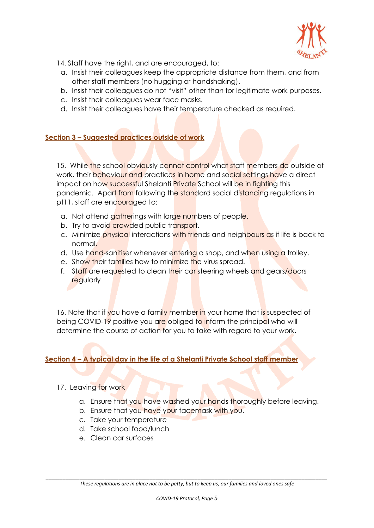

- 14. Staff have the right, and are encouraged, to:
- a. Insist their colleagues keep the appropriate distance from them, and from other staff members (no hugging or handshaking).
- b. Insist their colleagues do not "visit" other than for legitimate work purposes.
- c. Insist their colleagues wear face masks.
- d. Insist their colleagues have their temperature checked as required.

#### **Section 3 – Suggested practices outside of work**

15. While the school obviously cannot control what staff members do outside of work, their behaviour and practices in home and social settings have a direct impact on how successful Shelanti **Private** School will be in fighting this pandemic. Apart from following the standard social distancing regulations in pt11, staff are encouraged to:

- a. Not attend gatherings with large numbers of people.
- b. Try to avoid crowded public transport.
- c. Minimize physical interactions with friends and neighbours as if life is back to normal.
- d. Use hand-sanitiser whenever entering a shop, and when using a trolley.
- e. Show their families how to minimize the virus spread.
- f. Staff are requested to clean their car steering wheels and gears/doors **regularly**

16. Note that if you have a family member in your home that is suspected of being COVID-19 positive you are obliged to inform the principal who will determine the course of action for you to take with regard to your work.

## **Section 4 – A typical day in the life of a Shelanti Private School staff member**

- 17. Leaving for work
	- a. Ensure that you have washed your hands thoroughly before leaving.
	- b. Ensure that you have your facemask with you.
	- c. Take your temperature
	- d. Take school food/lunch
	- e. Clean car surfaces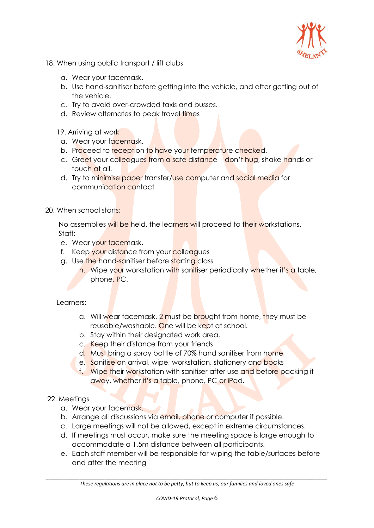

- 18. When using public transport / lift clubs
	- a. Wear your facemask.
	- b. Use hand-sanitiser before getting into the vehicle, and after getting out of the vehicle.
	- c. Try to avoid over-crowded taxis and busses.
	- d. Review alternates to peak travel times
	- 19. Arriving at work
	- a. Wear your facemask.
	- b. Proceed to reception to have your temperature checked.
	- c. Greet your colleagues from a safe distance don't hug, shake hands or touch at all.
	- d. Try to minimise paper transfer/use computer and social media for communication contact
- 20. When school starts:

No assemblies will be held, the learners will proceed to their workstations. Staff:

- e. Wear your facemask.
- f. Keep your distance from your colleagues
- g. Use the hand-sanitiser before starting class
	- h. Wipe your workstation with sanitiser periodically whether it's a table, phone, PC.

#### Learners:

- a. Will wear facemask, 2 must be brought from home, they must be reusable/washable. One will be kept at school.
- b. Stay within their designated work area.
- c. Keep their distance from your friends
- d. Must bring a spray bottle of 70% hand sanitiser from home
- e. Sanitise on arrival, wipe, workstation, stationery and books
- f. Wipe their workstation with sanitiser after use and before packing it away, whether it's a table, phone, PC or iPad.
- 22. Meetings
	- a. Wear your facemask.
	- b. Arrange all discussions via email, phone or computer if possible.
	- c. Large meetings will not be allowed, except in extreme circumstances.
	- d. If meetings must occur, make sure the meeting space is large enough to accommodate a 1.5m distance between all participants.
	- e. Each staff member will be responsible for wiping the table/surfaces before and after the meeting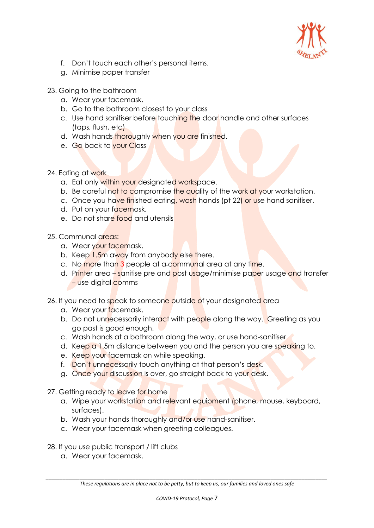

- f. Don't touch each other's personal items.
- g. Minimise paper transfer
- 23. Going to the bathroom
	- a. Wear your facemask.
	- b. Go to the bathroom closest to your class
	- c. Use hand sanitiser before touching the door handle and other surfaces (taps, flush, etc)
	- d. Wash hands thoroughly when you are finished.
	- e. Go back to your Class
- 24. Eating at work
	- a. Eat only within your designated workspace.
	- b. Be careful not to compromise the quality of the work at your workstation.
	- c. Once you have finished eating, wash hands (pt 22) or use hand sanitiser.
	- d. Put on your facemask.
	- e. Do not share food and utensils
- 25. Communal areas:
	- a. Wear your facemask.
	- b. Keep 1.5m away from anybody else there.
	- c. No more than 3 people at a-communal area at any time.
	- d. Printer area sanitise pre and post usage/minimise paper usage and transfer – use digital comms
- 26. If you need to speak to someone outside of your designated area
	- a. Wear your facemask.
	- b. Do not unnecessarily interact with people along the way. Greeting as you go past is good enough.
	- c. Wash hands at a bathroom along the way, or use hand-sanitiser
	- d. Keep a 1.5m distance between you and the person you are speaking to.
	- e. Keep your facemask on while speaking.
	- f. Don't unnecessarily touch anything at that person's desk.
	- g. Once your discussion is over, go straight back to your desk.
- 27. Getting ready to leave for home
	- a. Wipe your workstation and relevant equipment (phone, mouse, keyboard, surfaces).
	- b. Wash your hands thoroughly and/or use hand-sanitiser.
	- c. Wear your facemask when greeting colleagues.
- 28. If you use public transport / lift clubs
	- a. Wear your facemask.